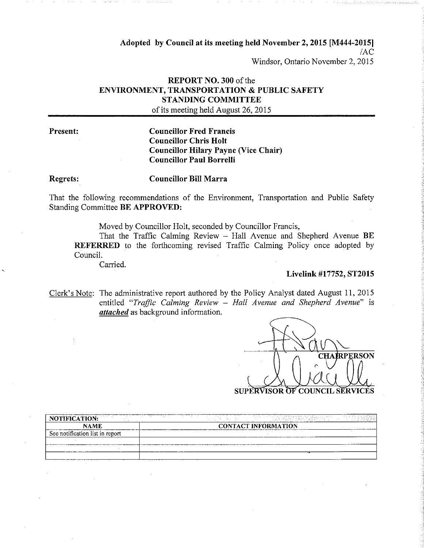Adopted by Council at its meeting held November 2, 2015 [M444-2015] /AC

Windsor, Ontario November 2, 2015

## REPORT NO. 300 of the ENVIRONMENT, TRANSPORTATION & PUBLIC SAFETY STANDING COMMITTEE of its meeting held August 26, 2015

Present:

## Councillor Fred Francis Councillor Chris Holt Councillor Hilary Payne (Vice Chair) Councillor Paul Borrelli

## Regrets:

Councillor Bill Marra

That the following recommendations of the Environment, Transportation and Public Safety Standing Committee BE APPROVED:

Moved by Councillor Holt, seconded by Councillor Francis,

That the Traffic Calming Review - Hall Avenue and Shepherd Avenue BE REFERRED to the forthcoming revised Traffic Calming Policy once adopted by Council.

Carried.

## Livelink #17752, ST2015

Clerk's Note: The administrative report authored by the Policy Analyst dated August 11, 2015 entitled "Traffic Calming Review  $-$  Hall Avenue and Shepherd Avenue" is attached as background information.

**CHAIRPERSON** SUPERVISOR OF COUNCIL SERVICES

NOTIFICATION: NAME CONTACT INFORMATION See notification list in report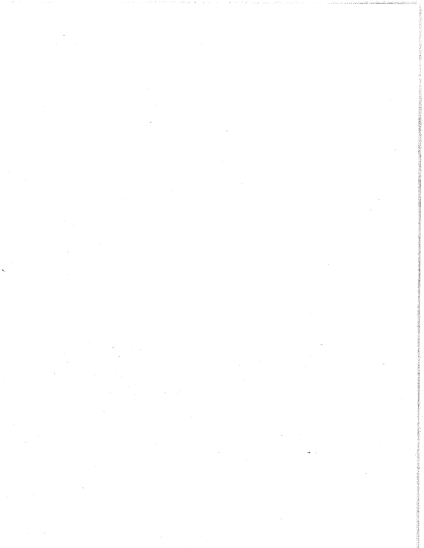$\label{eq:2.1} \frac{1}{\sqrt{2}}\sum_{i=1}^n\frac{1}{\sqrt{2}}\sum_{i=1}^n\frac{1}{\sqrt{2}}\sum_{i=1}^n\frac{1}{\sqrt{2}}\sum_{i=1}^n\frac{1}{\sqrt{2}}\sum_{i=1}^n\frac{1}{\sqrt{2}}\sum_{i=1}^n\frac{1}{\sqrt{2}}\sum_{i=1}^n\frac{1}{\sqrt{2}}\sum_{i=1}^n\frac{1}{\sqrt{2}}\sum_{i=1}^n\frac{1}{\sqrt{2}}\sum_{i=1}^n\frac{1}{\sqrt{2}}\sum_{i=1}^n\frac$  $\label{eq:2.1} \frac{1}{2} \sum_{i=1}^n \frac{1}{2} \sum_{j=1}^n \frac{1}{2} \sum_{j=1}^n \frac{1}{2} \sum_{j=1}^n \frac{1}{2} \sum_{j=1}^n \frac{1}{2} \sum_{j=1}^n \frac{1}{2} \sum_{j=1}^n \frac{1}{2} \sum_{j=1}^n \frac{1}{2} \sum_{j=1}^n \frac{1}{2} \sum_{j=1}^n \frac{1}{2} \sum_{j=1}^n \frac{1}{2} \sum_{j=1}^n \frac{1}{2} \sum_{j=1}^n \frac{$  $\mathcal{L}^{\text{max}}_{\text{max}}$  and  $\mathcal{L}^{\text{max}}_{\text{max}}$ 

 $\frac{1}{2} \frac{1}{2} \frac{1}{2}$ 

 $\label{eq:2.1} \mathcal{L}(\mathcal{L}^{\text{max}}_{\mathcal{L}}(\mathcal{L}^{\text{max}}_{\mathcal{L}}))\leq \mathcal{L}(\mathcal{L}^{\text{max}}_{\mathcal{L}}(\mathcal{L}^{\text{max}}_{\mathcal{L}}))$  $\label{eq:2} \frac{1}{\sqrt{2}}\int_{0}^{\infty}\frac{1}{\sqrt{2\pi}}\left(\frac{1}{\sqrt{2}}\right)^{2}d\mu_{\rm{eff}}\,.$ 

 $\label{eq:2.1} \frac{1}{\sqrt{2}}\left(\frac{1}{\sqrt{2}}\right)^{2} \left(\frac{1}{\sqrt{2}}\right)^{2} \left(\frac{1}{\sqrt{2}}\right)^{2} \left(\frac{1}{\sqrt{2}}\right)^{2} \left(\frac{1}{\sqrt{2}}\right)^{2} \left(\frac{1}{\sqrt{2}}\right)^{2} \left(\frac{1}{\sqrt{2}}\right)^{2} \left(\frac{1}{\sqrt{2}}\right)^{2} \left(\frac{1}{\sqrt{2}}\right)^{2} \left(\frac{1}{\sqrt{2}}\right)^{2} \left(\frac{1}{\sqrt{2}}\right)^{2} \left(\$  $\label{eq:2.1} \mathcal{L}_{\mathcal{A}}(\mathcal{A}) = \mathcal{L}_{\mathcal{A}}(\mathcal{A}) = \mathcal{L}_{\mathcal{A}}(\mathcal{A})$  $\label{eq:2.1} \frac{1}{\sqrt{2}}\left(\frac{1}{\sqrt{2}}\right)^{2} \left(\frac{1}{\sqrt{2}}\right)^{2} \left(\frac{1}{\sqrt{2}}\right)^{2} \left(\frac{1}{\sqrt{2}}\right)^{2} \left(\frac{1}{\sqrt{2}}\right)^{2} \left(\frac{1}{\sqrt{2}}\right)^{2} \left(\frac{1}{\sqrt{2}}\right)^{2} \left(\frac{1}{\sqrt{2}}\right)^{2} \left(\frac{1}{\sqrt{2}}\right)^{2} \left(\frac{1}{\sqrt{2}}\right)^{2} \left(\frac{1}{\sqrt{2}}\right)^{2} \left(\$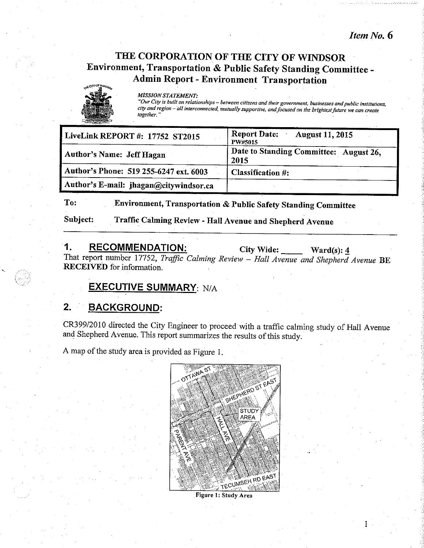7

## THE CORPORATION OF THE CITY OF WINDSOR Environment, Transportation & Public Safety Standing Committee -**Admin Report - Environment Transportation**



#### **MISSION STATEMENT:**

"Our City is built on relationships – between citizens and their government, businesses and public institutions, city and region - all interconnected, mutually supportive, and focused on the brightest future we can create together."

| LiveLink REPORT #: 17752 ST2015        | <b>Report Date:</b><br><b>August 11, 2015</b><br>PW#5015 |  |  |
|----------------------------------------|----------------------------------------------------------|--|--|
| <b>Author's Name: Jeff Hagan</b>       | Date to Standing Committee: August 26,<br>2015           |  |  |
| Author's Phone: 519 255-6247 ext. 6003 | Classification #:                                        |  |  |
| Author's E-mail: jhagan@citywindsor.ca |                                                          |  |  |

#### Environment, Transportation & Public Safety Standing Committee To:

Subject: Traffic Calming Review - Hall Avenue and Shepherd Avenue

#### **RECOMMENDATION:**  $\mathbf 1$

City Wide: Ward $(s)$ : 4

That report number 17752, Traffic Calming Review - Hall Avenue and Shepherd Avenue BE **RECEIVED** for information.

## **EXECUTIVE SUMMARY: N/A**

#### $2.$ **BACKGROUND:**

CR399/2010 directed the City Engineer to proceed with a traffic calming study of Hall Avenue and Shepherd Avenue. This report summarizes the results of this study.

A map of the study area is provided as Figure 1.



Figure 1: Study Area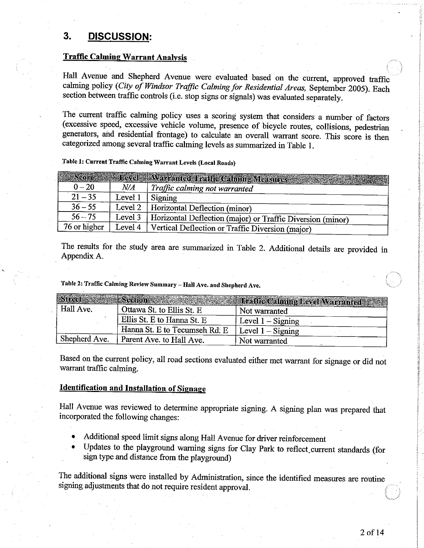## 3. DISGUSSION:

## **Traffic Calming Warrant Analysis**

Hall Avenue and Shepherd Avenue were evaluated based on the current, approved traffic calming policy (City of Windsor Traffic Calming for Residential Areas, September 2005). Each section between traffic controls (i.e. stop signs or signals) was evaluated separately.

The current traffic calming policy uses a scoring system that considers a number of factors (excessive speed, excessive vehicle volume, presence of bicycle routes, collisions, pedestrian generators, and residential frontage) to calculate an overall wanant score. This score is then categorized among several traffic calming levels as summarized in Table l.

Table 1: Current Traffic Calming Warrant Levels (Local Roads)

|              |           | Score Level Warranted Traffic Galming Measures             |
|--------------|-----------|------------------------------------------------------------|
| $0 - 20$     | $N\!/\!A$ | Traffic calming not warranted                              |
| $21 - 35$    | Level 1   | Signing                                                    |
| $36 - 55$    | Level 2   | Horizontal Deflection (minor)                              |
| $56 - 75$    | Level 3   | Horizontal Deflection (major) or Traffic Diversion (minor) |
| 76 or higher | Level 4   | Vertical Deflection or Traffic Diversion (major)           |

The results for the study area are summarized in Table 2. Additional details are provided in Appendix A.

Table 2: Traffic Calming Review Summary - Hall Ave. and Shepherd Ave.

| Street 1999   | <b>Section</b>                | <b>Eaffic Calming Level Warranted</b> |
|---------------|-------------------------------|---------------------------------------|
| Hall Ave.     | Ottawa St. to Ellis St. E     | Not warranted                         |
|               | Ellis St. E to Hanna St. E    | Level $1 -$ Signing                   |
|               | Hanna St. E to Tecumseh Rd. E | Level $1 -$ Signing                   |
| Shepherd Ave. | Parent Ave. to Hall Ave.      | Not warranted                         |

Based on the current policy, all road sections evaluated either met warrant for signage or did not warrant traffic calming.

## Identification and Installation of Signage

Hall Avenue was reviewed to determine appropriate signing. A signing plan was prepared that incorporated the following changes:

- Additional speed limit signs along Hall Avenue for driver reinforcement
- Updates to the playground warning signs for Clay Park to reflect\_current standards (for sign type and distance from the playground)

The additional signs were installed by Administration, since the identified measures are routine signing adjustments that do not require resident approval.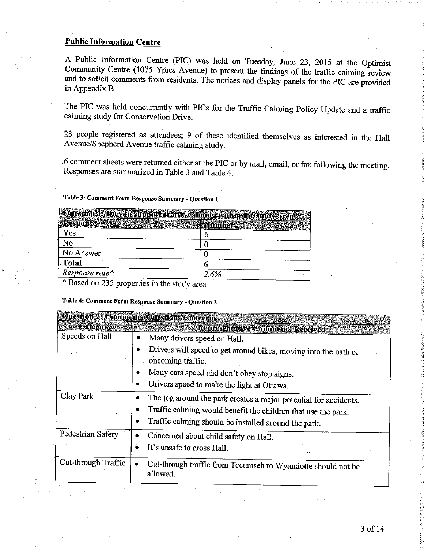## Public Information Centre

A Public Information Centre (PIC) was held on Tuesday, June 23, 2015 at the Optimist Community Centre (1075 Ypres Avenue) to present the findings of the traffic calming review and to solicit comments from residents. The notices and display panels for the PIC are provided in Appendix B.

The PIC was held concurrently with PICs for the Traffic Calming Policy Update and a traffic calming study for Conservation Drive.

23 people registered as attendees; 9 of these identified themselves as interested in the Hall Avenue/Shepherd Avenue traffic calming study.

<sup>6</sup>comment sheets were retumed either at the pIC or by mail, email, or fax following the meeting. Responses are summarized in Table 3 and Table 4.

|                 | Question 1: Do you support traffic calming within the study area? |  |
|-----------------|-------------------------------------------------------------------|--|
| <b>Response</b> | <b>All Sumbers</b>                                                |  |
| $\rm Yes$       |                                                                   |  |
| No              |                                                                   |  |
| No Answer       |                                                                   |  |
| <b>Total</b>    |                                                                   |  |
| Response rate*  |                                                                   |  |

### Table 3: Comment Form Response Summary - Question 1

\* Based on 235 properties in the study area

### Table 4: Comment Form Response Summary - Question 2

|                     | Question 2: Comments/Questions/Concerns                                              |
|---------------------|--------------------------------------------------------------------------------------|
| Calegory            | <b>Representative Comments Received</b>                                              |
| Speeds on Hall      | Many drivers speed on Hall.                                                          |
|                     | Drivers will speed to get around bikes, moving into the path of<br>oncoming traffic. |
|                     | Many cars speed and don't obey stop signs.                                           |
|                     | Drivers speed to make the light at Ottawa.                                           |
| <b>Clay Park</b>    | The jog around the park creates a major potential for accidents.                     |
|                     | Traffic calming would benefit the children that use the park.                        |
|                     | Traffic calming should be installed around the park.                                 |
| Pedestrian Safety   | Concerned about child safety on Hall.                                                |
|                     | It's unsafe to cross Hall.                                                           |
| Cut-through Traffic | Cut-through traffic from Tecumseh to Wyandotte should not be<br>allowed.             |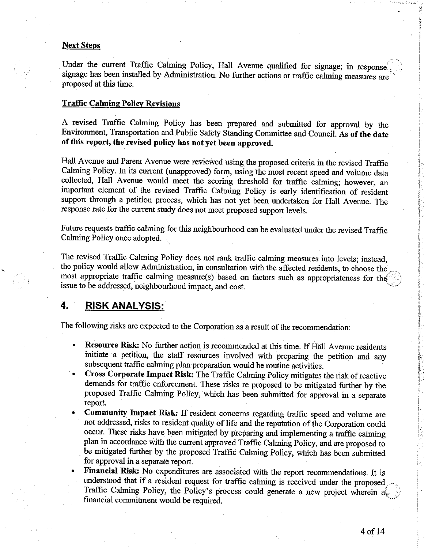### Next Steps

Under the current Traffic Calming Policy, Hall Avenue qualified for signage; in response. signage has been installed by Administration. No further actions or traffic calming measures are proposed at this time.

### Traffic Calming Policv Revisions

A revised Traffic Calming Policy has been prepared and submitted for approval by the Environment, Transportation and Public Safety Standing Committee and Council. Às of the date of this report, the revised policy has not yet been approved.

Hall Avenue and Parent Avenue were reviewed using the proposed criteria in the revised Traffic calming Policy. In its current (unapproved) form, using the most recent speed and volume data collected, Hall Avenue would meet the scoring threshold for traffic calming; however, an important element of the revised Trafñc Calming Policy is early identification of resident support through a petition process, which has not yet been undertaken for Hall Avenue. The response rate for the current study does not meet proposed support levels.

Future requests traffic calming for this neighbourhood can be evaluated under the revised Traffrc Calming Policy once adopted.

The revised Traffic Calming Policy does not rank traffic calming measures into levels; instead, the policy would allow Administration, in consultation with the affected residents, to choose the most appropriate traffic calming measure(s) based on factors such as appropriateness for the issue to be addressed, neighbourhood ìmpact, and cost.

## 4. RISK ANALYSIS:

The following risks are expected to the Corporation as a result of the recommendation:

- . Resource Risk: No firther action is recommended at this time. If Hall Avenue residents initiate a petition, the staff resources involved with preparing the petition and any subsequent traffic calming plan preparation would be routine activities.
- ' Cross Corporate Impact Risk: The Trafhc Calming Policy mitigates the risk of reactive demands for traffrc enforcement. These risks re proposed to be mitigated further by the proposed Traffic Calming Policy, which has been submitted for approval in a separate report.
- Community Impact Risk: If resident concerns regarding traffic speed and volume are not addressed, risks to resident quality of life and the reputation of the Corporation could occur. These risks have been mitigated by preparing and implementing a traffic calming plaa in accordance with the current approved rraffic calming policy, and are proposed to be mitigated further by the proposed Traffic Calming Policy, which has been submitted for approval in a separate report.
- . Financial Risk: No expenditures are associated with the report recommendations. It is understood that if a resident request for traffic calming is received under the proposed Traffic Calming Policy, the Policy's process could generate a new project wherein  $a_i$ منتشب financial commitment would be required.

]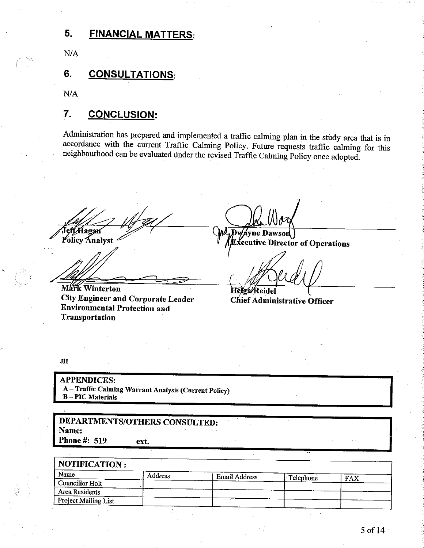#### **FINANCIAL MATTERS:** 5.

 $N/A$ 

#### 6. **CONSULTATIONS:**

 $N/A$ 

#### $\overline{7}$ . **CONCLUSION:**

Administration has prepared and implemented a traffic calming plan in the study area that is in accordance with the current Traffic Calming Policy. Future requests traffic calming for this neighbourhood can be evaluated under the revised Traffic Calming Policy once adopted.

JeffAagan **Policy Analyst** 

**Mark Winterton** 

**City Engineer and Corporate Leader Environmental Protection and** Transportation

**Dwavne Dawson** xecutive Director of Operations

**Helza/Reidel Chief Administrative Officer** 

JH

**APPENDICES:** A - Traffic Calming Warrant Analysis (Current Policy) **B-PIC Materials** 

DEPARTMENTS/OTHERS CONSULTED: Name: Phone #: 519 ext.

## NOTIFICATION:

| Name                        | Address | Email Address | Telephone | <b>TAX</b> |
|-----------------------------|---------|---------------|-----------|------------|
| Councillor Holt             |         |               |           |            |
| Area Residents              |         |               |           |            |
| <b>Project Mailing List</b> |         |               |           |            |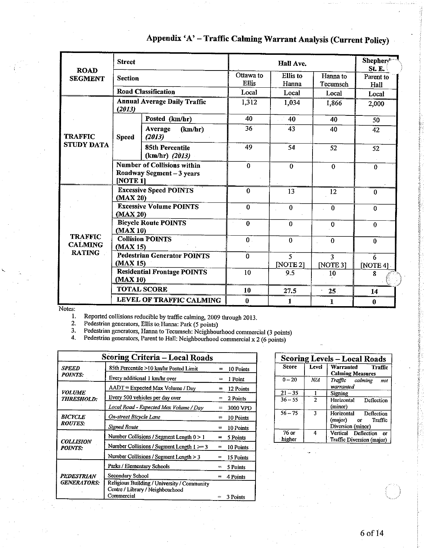## Appendix 'A' - Traffic Calming Warrant Analysis (Current Policy)

| <b>ROAD</b>                                       | <b>Street</b>                                 |                                                                 | Hall Ave.                 |                            |                      | Shephers <sup>1</sup><br>St. E. |
|---------------------------------------------------|-----------------------------------------------|-----------------------------------------------------------------|---------------------------|----------------------------|----------------------|---------------------------------|
| <b>SEGMENT</b>                                    | <b>Section</b>                                |                                                                 | Ottawa to<br><b>Ellis</b> | Ellis to<br>Hanna          | Hanna to<br>Tecumseh | Parent to<br>Hall               |
|                                                   |                                               | <b>Road Classification</b>                                      | Local                     | Local                      | Local                | Local                           |
|                                                   | <b>Annual Average Daily Traffic</b><br>(2013) |                                                                 | 1,312                     | 1,034                      | 1,866                | 2,000                           |
|                                                   |                                               | Posted (km/hr)                                                  | 40                        | 40                         | 40                   | 50                              |
| <b>TRAFFIC</b>                                    | <b>Speed</b>                                  | Average<br>(km/hr)<br>(2013)                                    | 36                        | 43                         | 40                   | 42                              |
| STUDY DATA                                        |                                               | 85th Percentile<br>$(km/hr)$ (2013)                             | 49                        | 54                         | 52                   | 52                              |
|                                                   | [NOTE 1]                                      | <b>Number of Collisions within</b><br>Roadway Segment - 3 years | $\Omega$                  | $\theta$                   | $\theta$             | $\mathbf{0}$                    |
|                                                   | (MAX 20)                                      | <b>Excessive Speed POINTS</b>                                   | $\bf{0}$                  | 13                         | 12                   | $\theta$                        |
|                                                   | <b>Excessive Volume POINTS</b><br>(MAX 20)    |                                                                 | $\bf{0}$                  | $\bf{0}$                   | $\bf{0}$             | $\Omega$                        |
| <b>TRAFFIC</b><br><b>CALMING</b><br><b>RATING</b> | (MAX 10)                                      | <b>Bicycle Route POINTS</b>                                     | $\Omega$                  | $\Omega$                   | $\bf{0}$             | $\Omega$                        |
|                                                   | <b>Collision POINTS</b><br>(MAX 15)           |                                                                 | $\mathbf{0}$ .            | $\theta$                   | $\bf{0}$             | $\bf{0}$                        |
|                                                   | (MAX 15)                                      | <b>Pedestrian Generator POINTS</b>                              | $\mathbf 0$               | $\overline{5}$<br>[NOTE 2] | 3<br>[NOTE 3]        | Ġ.<br>[NOTE 4]                  |
|                                                   | (MAX 10)                                      | <b>Residential Frontage POINTS</b>                              | 10                        | 9.5                        | 10                   | 8                               |
|                                                   |                                               | <b>TOTAL SCORE</b>                                              | 10                        | 27.5                       | 25                   | 14                              |
|                                                   | LEVEL OF TRAFFIC CALMING                      |                                                                 | $\bf{0}$                  | 1                          | 1                    | $\bf{0}$                        |

Notes:

Reported collisions reducible by traffic calming, 2009 through 2013.  $\mathbf{1}$ .

 $\overline{2}$ Pedestrian generators, Ellis to Hanna: Park (5 points)

 $3.$ Pedestrian generators, Hanna to Tecumseh: Neighbourhood commercial (3 points)

4. Pedestrian generators, Parent to Hall: Neighbourhood commercial x 2 (6 points)

|                                           | <b>Scoring Criteria - Local Roads</b>                                           |     |           |
|-------------------------------------------|---------------------------------------------------------------------------------|-----|-----------|
| <b>SPEED</b>                              | 85th Percentile >10 km/hr Posted Limit                                          | $=$ | 10 Points |
| POINTS:                                   | Every additional 1 km/hr over                                                   | $=$ | 1 Point   |
|                                           | $AADT$ = Expected Max Volume / Day                                              |     | 12 Points |
| <b>VOLUME</b><br>THRESHOLD:               | Every 500 vehicles per day over                                                 |     | 2 Points  |
|                                           | Local Road - Expected Max Volume / Day                                          | =   | 3000 VPD  |
| <b>BICYCLE</b>                            | On-street Bicycle Lane                                                          | $=$ | 10 Points |
| <i>ROUTES:</i>                            | <b>Signed Route</b>                                                             | =   | 10 Points |
|                                           | Number Collisions / Segment Length 0 > 1                                        | ≕   | 5 Points  |
| <i><b>COLLISION</b></i><br><b>POINTS:</b> | Number Collisions / Segment Length $1 \ge 3$                                    | =   | 10 Points |
|                                           | Number Collisions / Segment Length > 3                                          | =   | 15 Points |
|                                           | Parks / Elementary Schools                                                      | =   | 5 Points  |
| PEDESTRIAN                                | Secondary School                                                                | 震   | 4 Points  |
| <b>GENERATORS:</b>                        | Religious Building / University / Community<br>Centre / Library / Neighbourhood |     |           |
|                                           | Commercial                                                                      |     | 3 Points  |

|                 | <b>Scoring Levels – Local Roads</b> |                                                                     |  |  |  |
|-----------------|-------------------------------------|---------------------------------------------------------------------|--|--|--|
| Score           | Level                               | Warranted Traffic<br><b>Calming Measures</b>                        |  |  |  |
| $0 - 20$        | N/A                                 | Traffic calming<br>not<br>warranted                                 |  |  |  |
| $21 - 35$       |                                     | Signing                                                             |  |  |  |
| $36 - 55$       | $\overline{2}$                      | Horizontal<br>Deflection<br>(minor)                                 |  |  |  |
| $56 - 75$       | 3                                   | Horizontal Deflection<br>(major)<br>or Traffic<br>Diversion (minor) |  |  |  |
| 76 ог<br>higher | 4                                   | Vertical Deflection<br>or<br>Traffic Diversion (major)              |  |  |  |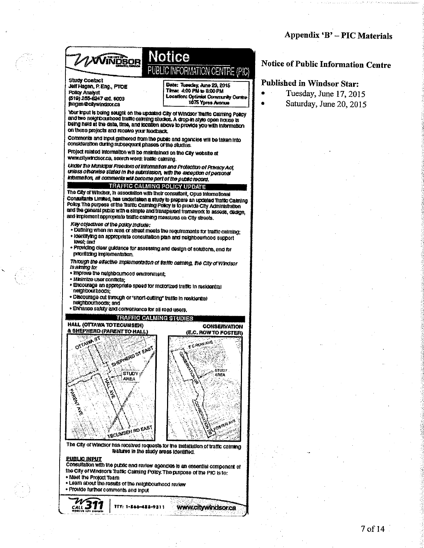

## **Notice of Public Information Centre**

### **Published in Windsor Star:**

- Tuesday, June 17, 2015
- Saturday, June 20, 2015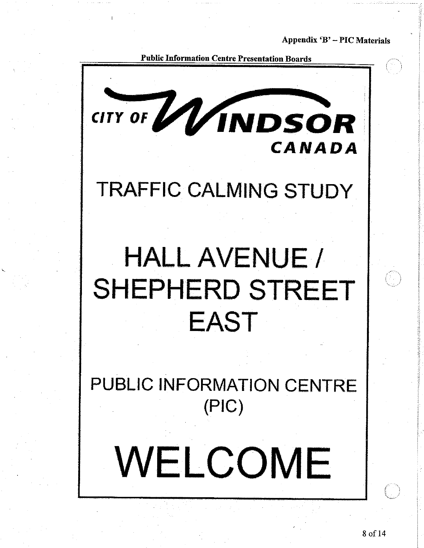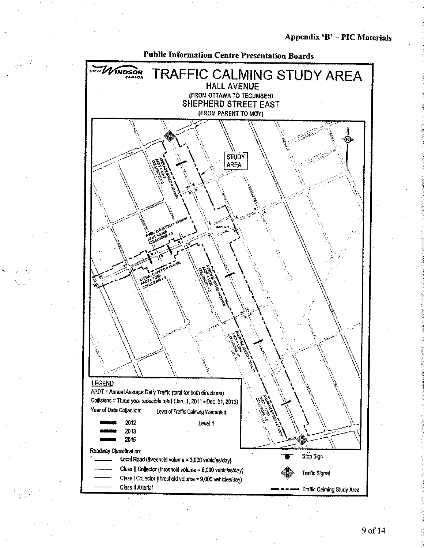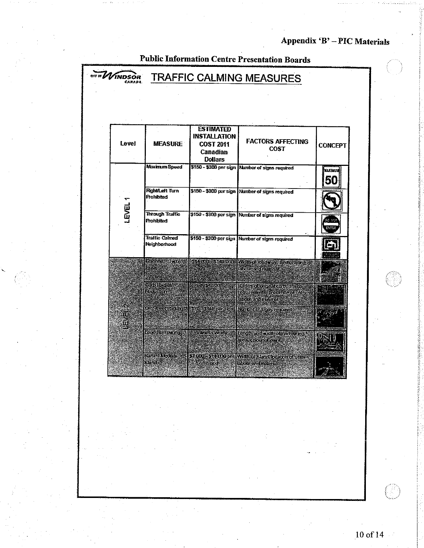

10 of 14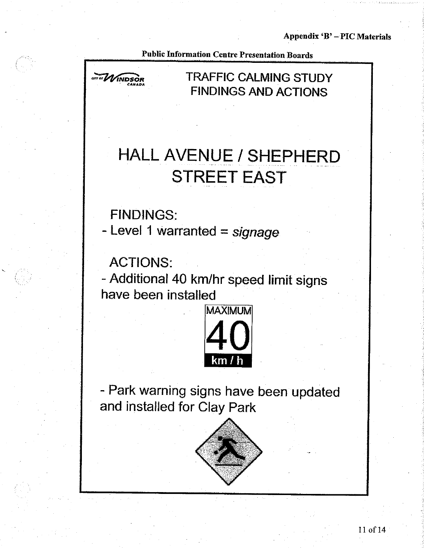## **Public Information Centre Presentation Boards**



**TRAFFIC CALMING STUDY FINDINGS AND ACTIONS** 

# HALL AVENUE / SHEPHERD **STREET EAST**

**FINDINGS:** 

- Level 1 warranted = signage

**ACTIONS:** 

- Additional 40 km/hr speed limit signs have been installed



- Park warning signs have been updated and installed for Clay Park

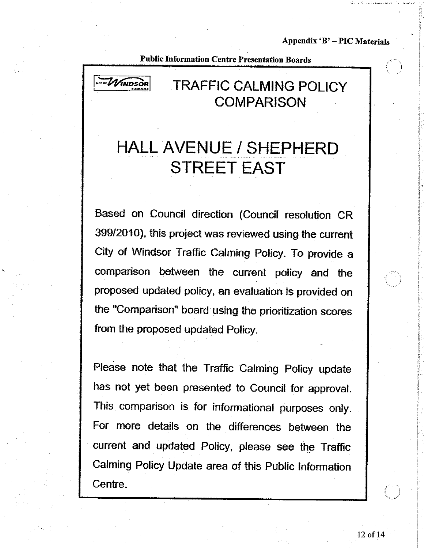## Public Information Centre Presentation Boards



# TRAFFIC CALMING POLICY **COMPARISON**

# HALL AVENUE / SHËPHERD STREET EAST

Based on Council direction (Council resolution CR 399/2010), this project was reviewed using the current City of Windsor Traffic Calming policy. To provide <sup>a</sup> comparison between the current policy and the proposed updated policy, an evaluation is provided on the "Comparison" board using the prioritization scores from the proposed updated Policy.

Please note that the Traffic Calming Policy update has not yet been presented to Council for approval. This comparison is for informational purposes only. For more details on the differences between the current and updated Policy, please see the Traffic Calming Policy Update area of this Public Information Centre.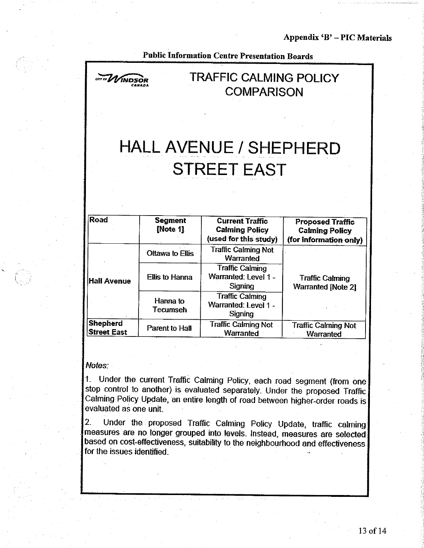

**TRAFFIC CALMING POLICY COMPARISON** 

# HALL AVENUE / SHEPHERD **STREET EAST**

| Road                                  | <b>Segment</b><br>[Note 1] | <b>Current Traffic</b><br><b>Calming Policy</b><br>(used for this study) | <b>Proposed Traffic</b><br><b>Calming Policy</b><br>(for information only) |  |
|---------------------------------------|----------------------------|--------------------------------------------------------------------------|----------------------------------------------------------------------------|--|
| Hall Avenue                           | Ottawa to Ellis            | <b>Traffic Calming Not</b><br>Warranted                                  |                                                                            |  |
|                                       | Ellis to Hanna             | <b>Traffic Calming</b><br>Warranted: Level 1 -<br>Signing                | <b>Traffic Calming</b><br><b>Warranted [Note 2]</b>                        |  |
|                                       | Hanna to<br>Tecumseh       | <b>Traffic Calming</b><br>Warranted: Level 1 -<br>Signing                |                                                                            |  |
| <b>Shepherd</b><br><b>Street East</b> | Parent to Hall             | <b>Traffic Calming Not</b><br>Warranted                                  | <b>Traffic Calming Not</b><br>Warranted                                    |  |

### Notes:

1. Under the current Traffic Calming Policy, each road segment (from one stop control to another) is evaluated separately. Under the proposed Traffic Calming Policy Update, an entire length of road between higher-order roads is evaluated as one unit.

Under the proposed Traffic Calming Policy Update, traffic calming  $2<sub>1</sub>$ measures are no longer grouped into levels. Instead, measures are selected based on cost-effectiveness, suitability to the neighbourhood and effectiveness for the issues identified